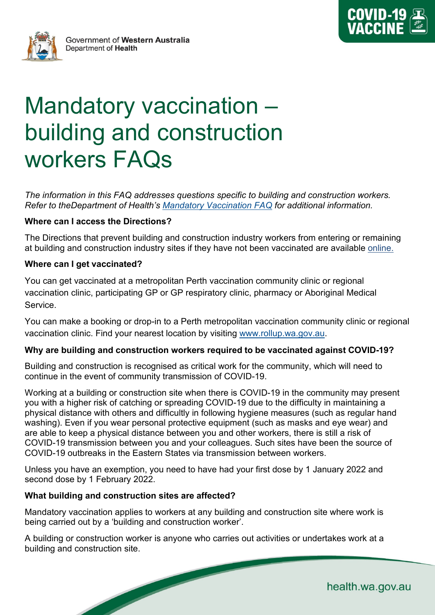



# Mandatory vaccination – building and construction workers FAQs

*The information in this FAQ addresses questions specific to building and construction workers. Refer to theDepartment of Health's Mandatory [Vaccination FAQ](https://ww2.health.wa.gov.au/%7E/media/Corp/Documents/Health-for/Infectious-disease/COVID19/Vaccination/COVID19-Mandatory-vaccination-FAQs.pd) for additional information.*

# **Where can I access the Directions?**

The Directions that prevent building and construction industry workers from entering or remaining at building and construction industry sites if they have not been vaccinated are available [online.](https://www.wa.gov.au/government/publications/building-and-construction-industry-worker-restrictions-access-directions-no2)

#### **Where can I get vaccinated?**

You can get vaccinated at a metropolitan Perth vaccination community clinic or regional vaccination clinic, participating GP or GP respiratory clinic, pharmacy or Aboriginal Medical Service.

You can make a booking or drop-in to a Perth metropolitan vaccination community clinic or regional vaccination clinic. Find your nearest location by visiting [www.rollup.wa.gov.au.](http://www.rollup.wa.gov.au/)

#### **Why are building and construction workers required to be vaccinated against COVID-19?**

Building and construction is recognised as critical work for the community, which will need to continue in the event of community transmission of COVID-19.

Working at a building or construction site when there is COVID-19 in the community may present you with a higher risk of catching or spreading COVID-19 due to the difficulty in maintaining a physical distance with others and difficultly in following hygiene measures (such as regular hand washing). Even if you wear personal protective equipment (such as masks and eye wear) and are able to keep a physical distance between you and other workers, there is still a risk of COVID-19 transmission between you and your colleagues. Such sites have been the source of COVID-19 outbreaks in the Eastern States via transmission between workers.

Unless you have an exemption, you need to have had your first dose by 1 January 2022 and second dose by 1 February 2022.

#### **What building and construction sites are affected?**

Mandatory vaccination applies to workers at any building and construction site where work is being carried out by a 'building and construction worker'.

A building or construction worker is anyone who carries out activities or undertakes work at a building and construction site.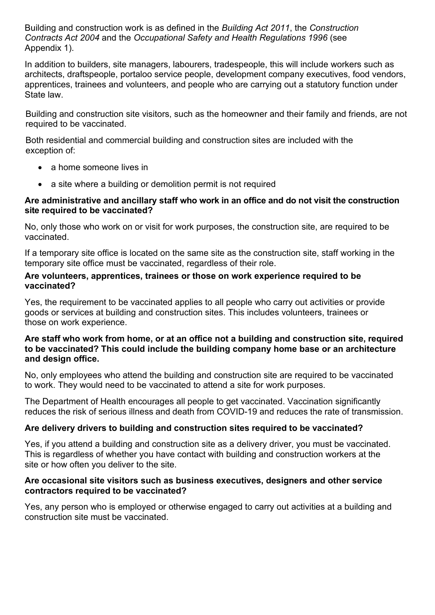Building and construction work is as defined in the *Building Act 2011*, the *Construction Contracts Act 2004* and the *Occupational Safety and Health Regulations 1996* (see Appendix 1).

In addition to builders, site managers, labourers, tradespeople, this will include workers such as architects, draftspeople, portaloo service people, development company executives, food vendors, apprentices, trainees and volunteers, and people who are carrying out a statutory function under State law.

Building and construction site visitors, such as the homeowner and their family and friends, are not required to be vaccinated.

Both residential and commercial building and construction sites are included with the exception of:

- a home someone lives in
- a site where a building or demolition permit is not required

# **Are administrative and ancillary staff who work in an office and do not visit the construction site required to be vaccinated?**

No, only those who work on or visit for work purposes, the construction site, are required to be vaccinated.

If a temporary site office is located on the same site as the construction site, staff working in the temporary site office must be vaccinated, regardless of their role.

# **Are volunteers, apprentices, trainees or those on work experience required to be vaccinated?**

Yes, the requirement to be vaccinated applies to all people who carry out activities or provide goods or services at building and construction sites. This includes volunteers, trainees or those on work experience.

#### **Are staff who work from home, or at an office not a building and construction site, required to be vaccinated? This could include the building company home base or an architecture and design office.**

No, only employees who attend the building and construction site are required to be vaccinated to work. They would need to be vaccinated to attend a site for work purposes.

The Department of Health encourages all people to get vaccinated. Vaccination significantly reduces the risk of serious illness and death from COVID-19 and reduces the rate of transmission.

# **Are delivery drivers to building and construction sites required to be vaccinated?**

Yes, if you attend a building and construction site as a delivery driver, you must be vaccinated. This is regardless of whether you have contact with building and construction workers at the site or how often you deliver to the site.

# **Are occasional site visitors such as business executives, designers and other service contractors required to be vaccinated?**

Yes, any person who is employed or otherwise engaged to carry out activities at a building and construction site must be vaccinated.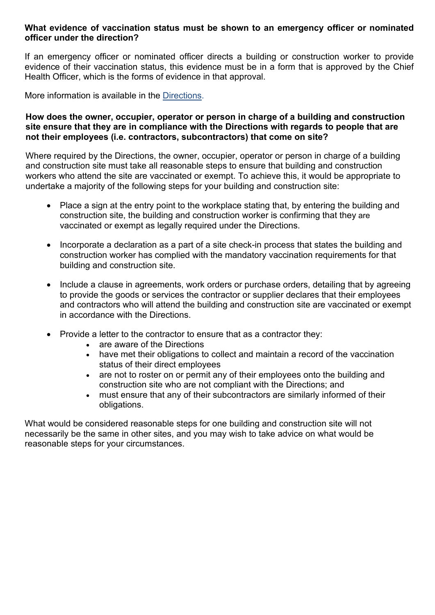# **What evidence of vaccination status must be shown to an emergency officer or nominated officer under the direction?**

If an emergency officer or nominated officer directs a building or construction worker to provide evidence of their vaccination status, this evidence must be in a form that is approved by the Chief Health Officer, which is the forms of evidence in that approval.

More information is available in the [Directions.](https://www.wa.gov.au/government/publications/chief-health-officer-approved-form-of-evidence-of-covid-19-vaccination-under-each-of-the-restrictions-access-directions-given-under-the-public-health-act-2016-wa-respect-of)

# **How does the owner, occupier, operator or person in charge of a building and construction site ensure that they are in compliance with the Directions with regards to people that are not their employees (i.e. contractors, subcontractors) that come on site?**

Where required by the Directions, the owner, occupier, operator or person in charge of a building and construction site must take all reasonable steps to ensure that building and construction workers who attend the site are vaccinated or exempt. To achieve this, it would be appropriate to undertake a majority of the following steps for your building and construction site:

- Place a sign at the entry point to the workplace stating that, by entering the building and construction site, the building and construction worker is confirming that they are vaccinated or exempt as legally required under the Directions.
- Incorporate a declaration as a part of a site check-in process that states the building and construction worker has complied with the mandatory vaccination requirements for that building and construction site.
- Include a clause in agreements, work orders or purchase orders, detailing that by agreeing to provide the goods or services the contractor or supplier declares that their employees and contractors who will attend the building and construction site are vaccinated or exempt in accordance with the Directions.
- Provide a letter to the contractor to ensure that as a contractor they:
	- are aware of the Directions
	- have met their obligations to collect and maintain a record of the vaccination status of their direct employees
	- are not to roster on or permit any of their employees onto the building and construction site who are not compliant with the Directions; and
	- must ensure that any of their subcontractors are similarly informed of their obligations.

What would be considered reasonable steps for one building and construction site will not necessarily be the same in other sites, and you may wish to take advice on what would be reasonable steps for your circumstances.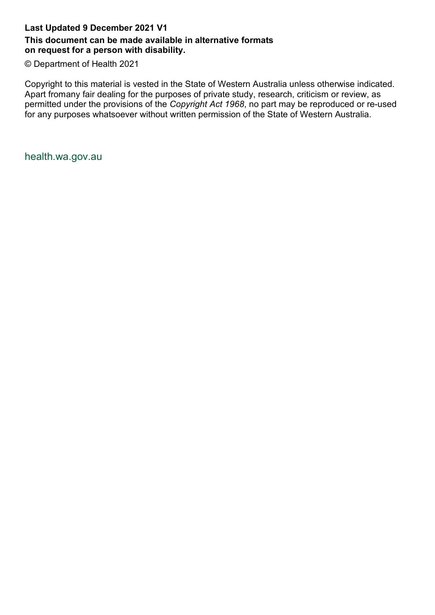# **Last Updated 9 December 2021 V1**

# **This document can be made available in alternative formats on request for a person with disability.**

© Department of Health 2021

Copyright to this material is vested in the State of Western Australia unless otherwise indicated. Apart fromany fair dealing for the purposes of private study, research, criticism or review, as permitted under the provisions of the *Copyright Act 1968*, no part may be reproduced or re-used for any purposes whatsoever without written permission of the State of Western Australia.

health.wa.gov.au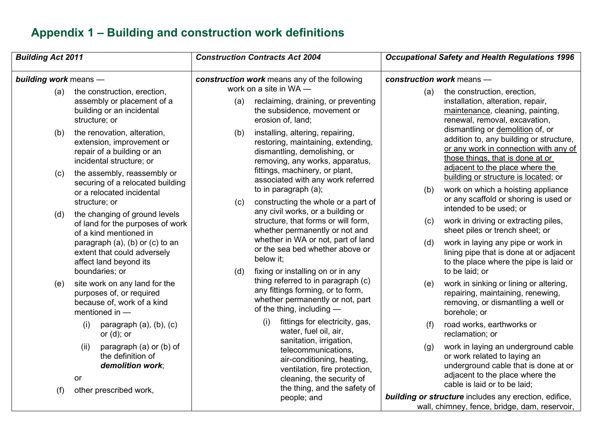# **Appendix 1 – Building and construction work definitions**

| <b>Building Act 2011</b><br><b>building work</b> means - |                                                                                                                                                 |                                              | <b>Construction Contracts Act 2004</b>                                                                                                                                                  | <b>Occupational Safety and Health Regulations 1996</b>                                                        |                                                                                                                                                                                             |
|----------------------------------------------------------|-------------------------------------------------------------------------------------------------------------------------------------------------|----------------------------------------------|-----------------------------------------------------------------------------------------------------------------------------------------------------------------------------------------|---------------------------------------------------------------------------------------------------------------|---------------------------------------------------------------------------------------------------------------------------------------------------------------------------------------------|
|                                                          |                                                                                                                                                 | construction work means any of the following |                                                                                                                                                                                         | construction work means -                                                                                     |                                                                                                                                                                                             |
| (a)                                                      | the construction, erection,<br>assembly or placement of a<br>building or an incidental<br>structure; or                                         | (a)                                          | work on a site in WA -<br>reclaiming, draining, or preventing<br>the subsidence, movement or<br>erosion of, land;                                                                       | (a)                                                                                                           | the construction, erection,<br>installation, alteration, repair,<br>maintenance, cleaning, painting,<br>renewal, removal, excavation,                                                       |
| (b)                                                      | the renovation, alteration,<br>extension, improvement or<br>repair of a building or an<br>incidental structure; or                              | (b)                                          | installing, altering, repairing,<br>restoring, maintaining, extending,<br>dismantling, demolishing, or<br>removing, any works, apparatus,                                               |                                                                                                               | dismantling or demolition of, or<br>addition to, any building or structure,<br>or any work in connection with any of<br>those things, that is done at or<br>adjacent to the place where the |
| (c)                                                      | the assembly, reassembly or<br>securing of a relocated building<br>or a relocated incidental                                                    |                                              | fittings, machinery, or plant,<br>associated with any work referred<br>to in paragraph (a);                                                                                             | (b)                                                                                                           | building or structure is located; or<br>work on which a hoisting appliance<br>or any scaffold or shoring is used or                                                                         |
| (d)                                                      | structure; or<br>the changing of ground levels<br>of land for the purposes of work<br>of a kind mentioned in<br>paragraph (a), (b) or (c) to an | (c)                                          | constructing the whole or a part of<br>any civil works, or a building or<br>structure, that forms or will form,<br>whether permanently or not and<br>whether in WA or not, part of land | (c)<br>(d)                                                                                                    | intended to be used; or<br>work in driving or extracting piles,<br>sheet piles or trench sheet; or<br>work in laying any pipe or work in                                                    |
| boundaries; or                                           | extent that could adversely<br>affect land beyond its                                                                                           | (d)                                          | or the sea bed whether above or<br>below it;<br>fixing or installing on or in any                                                                                                       | to be laid; or                                                                                                | lining pipe that is done at or adjacent<br>to the place where the pipe is laid or                                                                                                           |
| (e)                                                      | site work on any land for the<br>purposes of, or required<br>because of, work of a kind<br>mentioned in $-$                                     |                                              | thing referred to in paragraph (c)<br>any fittings forming, or to form,<br>whether permanently or not, part<br>of the thing, including -                                                | (e)                                                                                                           | work in sinking or lining or altering,<br>repairing, maintaining, renewing,<br>removing, or dismantling a well or<br>borehole; or                                                           |
|                                                          | paragraph $(a)$ , $(b)$ , $(c)$<br>(i)<br>or $(d)$ ; or                                                                                         |                                              | (i)<br>fittings for electricity, gas,<br>water, fuel oil, air,                                                                                                                          | (f)                                                                                                           | road works, earthworks or<br>reclamation; or                                                                                                                                                |
|                                                          | paragraph (a) or (b) of<br>(ii)<br>the definition of<br>demolition work;<br>or                                                                  |                                              | sanitation, irrigation,<br>telecommunications,<br>air-conditioning, heating,<br>ventilation, fire protection,<br>cleaning, the security of<br>the thing, and the safety of              | (g)                                                                                                           | work in laying an underground cable<br>or work related to laying an<br>underground cable that is done at or<br>adjacent to the place where the<br>cable is laid or to be laid;              |
| (f)                                                      | other prescribed work,                                                                                                                          | people; and                                  |                                                                                                                                                                                         | <b>building or structure</b> includes any erection, edifice,<br>wall, chimney, fence, bridge, dam, reservoir, |                                                                                                                                                                                             |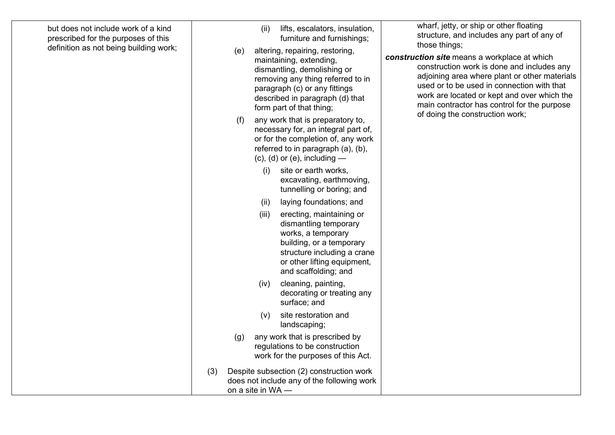| but does not include work of a kind<br>prescribed for the purposes of this<br>definition as not being building work; |     | (e)               | lifts, escalators, insulation,<br>(ii)<br>furniture and furnishings;<br>altering, repairing, restoring,<br>maintaining, extending,<br>dismantling, demolishing or<br>removing any thing referred to in<br>paragraph (c) or any fittings<br>described in paragraph (d) that<br>form part of that thing; |                                                                                                                                                                                                                                                   | wharf, jetty, or ship or other floating<br>structure, and includes any part of any of<br>those things;<br>construction site means a workplace at which<br>construction work is done and includes any<br>adjoining area where plant or other materials<br>used or to be used in connection with that<br>work are located or kept and over which the<br>main contractor has control for the purpose<br>of doing the construction work; |
|----------------------------------------------------------------------------------------------------------------------|-----|-------------------|--------------------------------------------------------------------------------------------------------------------------------------------------------------------------------------------------------------------------------------------------------------------------------------------------------|---------------------------------------------------------------------------------------------------------------------------------------------------------------------------------------------------------------------------------------------------|--------------------------------------------------------------------------------------------------------------------------------------------------------------------------------------------------------------------------------------------------------------------------------------------------------------------------------------------------------------------------------------------------------------------------------------|
|                                                                                                                      |     | (f)               | any work that is preparatory to,<br>necessary for, an integral part of,<br>or for the completion of, any work<br>referred to in paragraph (a), (b),<br>$(c)$ , $(d)$ or $(e)$ , including —<br>site or earth works,<br>(i)<br>excavating, earthmoving,                                                 |                                                                                                                                                                                                                                                   |                                                                                                                                                                                                                                                                                                                                                                                                                                      |
|                                                                                                                      |     |                   | (ii)<br>(iii)                                                                                                                                                                                                                                                                                          | tunnelling or boring; and<br>laying foundations; and<br>erecting, maintaining or<br>dismantling temporary<br>works, a temporary<br>building, or a temporary<br>structure including a crane<br>or other lifting equipment,<br>and scaffolding; and |                                                                                                                                                                                                                                                                                                                                                                                                                                      |
|                                                                                                                      |     | (g)               | (iv)<br>(v)                                                                                                                                                                                                                                                                                            | cleaning, painting,<br>decorating or treating any<br>surface; and<br>site restoration and<br>landscaping;<br>any work that is prescribed by<br>regulations to be construction<br>work for the purposes of this Act.                               |                                                                                                                                                                                                                                                                                                                                                                                                                                      |
|                                                                                                                      | (3) | on a site in WA - |                                                                                                                                                                                                                                                                                                        | Despite subsection (2) construction work<br>does not include any of the following work                                                                                                                                                            |                                                                                                                                                                                                                                                                                                                                                                                                                                      |